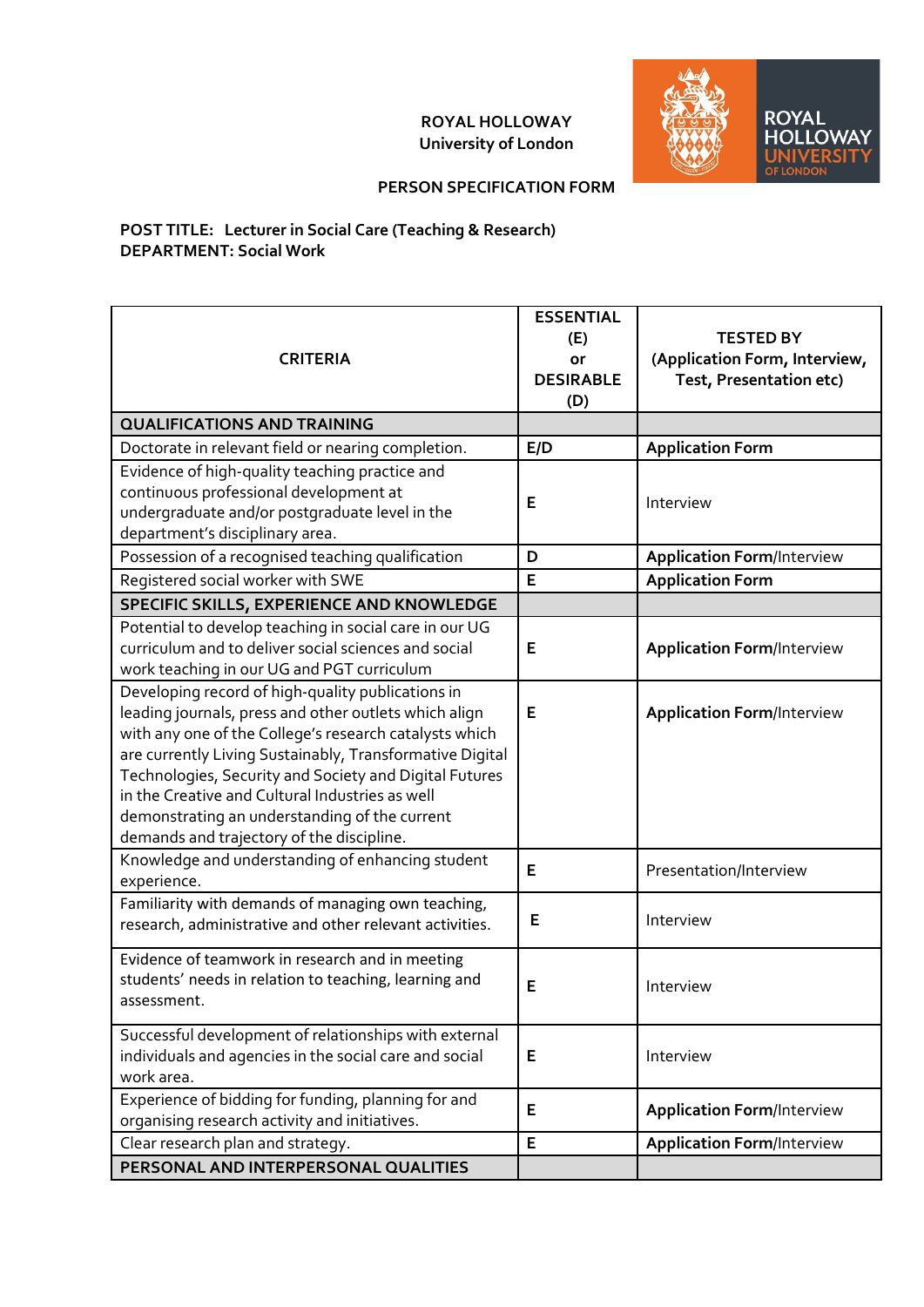## **ROYAL HOLLOWAY University of London**



## **PERSON SPECIFICATION FORM**

## **POST TITLE: Lecturer in Social Care (Teaching & Research) DEPARTMENT: Social Work**

| <b>CRITERIA</b>                                                                                                                                                                                                                                                                                                                                                                                                                             | <b>ESSENTIAL</b><br>(E)<br>or<br><b>DESIRABLE</b><br>(D) | <b>TESTED BY</b><br>(Application Form, Interview,<br>Test, Presentation etc) |
|---------------------------------------------------------------------------------------------------------------------------------------------------------------------------------------------------------------------------------------------------------------------------------------------------------------------------------------------------------------------------------------------------------------------------------------------|----------------------------------------------------------|------------------------------------------------------------------------------|
| <b>QUALIFICATIONS AND TRAINING</b>                                                                                                                                                                                                                                                                                                                                                                                                          |                                                          |                                                                              |
| Doctorate in relevant field or nearing completion.                                                                                                                                                                                                                                                                                                                                                                                          | E/D                                                      | <b>Application Form</b>                                                      |
| Evidence of high-quality teaching practice and<br>continuous professional development at<br>undergraduate and/or postgraduate level in the<br>department's disciplinary area.                                                                                                                                                                                                                                                               | Е                                                        | Interview                                                                    |
| Possession of a recognised teaching qualification                                                                                                                                                                                                                                                                                                                                                                                           | D                                                        | <b>Application Form/Interview</b>                                            |
| Registered social worker with SWE                                                                                                                                                                                                                                                                                                                                                                                                           | E                                                        | <b>Application Form</b>                                                      |
| SPECIFIC SKILLS, EXPERIENCE AND KNOWLEDGE                                                                                                                                                                                                                                                                                                                                                                                                   |                                                          |                                                                              |
| Potential to develop teaching in social care in our UG<br>curriculum and to deliver social sciences and social<br>work teaching in our UG and PGT curriculum                                                                                                                                                                                                                                                                                | E                                                        | <b>Application Form/Interview</b>                                            |
| Developing record of high-quality publications in<br>leading journals, press and other outlets which align<br>with any one of the College's research catalysts which<br>are currently Living Sustainably, Transformative Digital<br>Technologies, Security and Society and Digital Futures<br>in the Creative and Cultural Industries as well<br>demonstrating an understanding of the current<br>demands and trajectory of the discipline. | E                                                        | <b>Application Form/Interview</b>                                            |
| Knowledge and understanding of enhancing student<br>experience.                                                                                                                                                                                                                                                                                                                                                                             | Е                                                        | Presentation/Interview                                                       |
| Familiarity with demands of managing own teaching,<br>research, administrative and other relevant activities.                                                                                                                                                                                                                                                                                                                               | E                                                        | Interview                                                                    |
| Evidence of teamwork in research and in meeting<br>students' needs in relation to teaching, learning and<br>assessment.                                                                                                                                                                                                                                                                                                                     | E                                                        | Interview                                                                    |
| Successful development of relationships with external<br>individuals and agencies in the social care and social<br>work area.                                                                                                                                                                                                                                                                                                               | Е                                                        | Interview                                                                    |
| Experience of bidding for funding, planning for and<br>organising research activity and initiatives.                                                                                                                                                                                                                                                                                                                                        | E                                                        | <b>Application Form/Interview</b>                                            |
| Clear research plan and strategy.                                                                                                                                                                                                                                                                                                                                                                                                           | E                                                        | <b>Application Form/Interview</b>                                            |
| PERSONAL AND INTERPERSONAL QUALITIES                                                                                                                                                                                                                                                                                                                                                                                                        |                                                          |                                                                              |